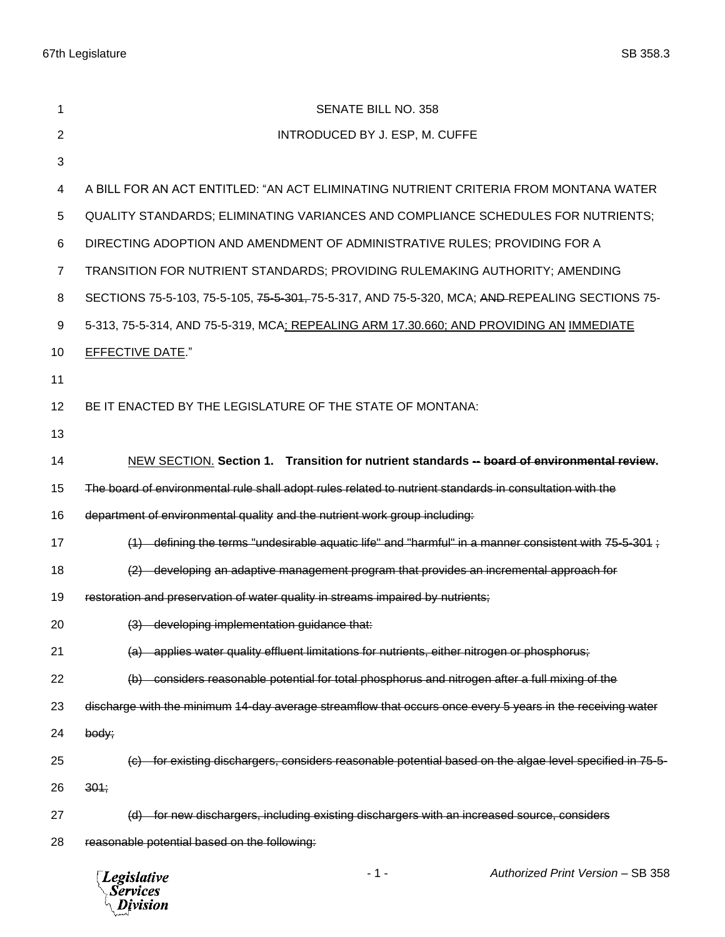| 1              | <b>SENATE BILL NO. 358</b>                                                                                 |
|----------------|------------------------------------------------------------------------------------------------------------|
| 2              | INTRODUCED BY J. ESP, M. CUFFE                                                                             |
| 3              |                                                                                                            |
| 4              | A BILL FOR AN ACT ENTITLED: "AN ACT ELIMINATING NUTRIENT CRITERIA FROM MONTANA WATER                       |
| 5              | QUALITY STANDARDS; ELIMINATING VARIANCES AND COMPLIANCE SCHEDULES FOR NUTRIENTS;                           |
| 6              | DIRECTING ADOPTION AND AMENDMENT OF ADMINISTRATIVE RULES; PROVIDING FOR A                                  |
| $\overline{7}$ | TRANSITION FOR NUTRIENT STANDARDS; PROVIDING RULEMAKING AUTHORITY; AMENDING                                |
| 8              | SECTIONS 75-5-103, 75-5-105, 75-5-301, 75-5-317, AND 75-5-320, MCA; AND-REPEALING SECTIONS 75-             |
| 9              | 5-313, 75-5-314, AND 75-5-319, MCA; REPEALING ARM 17.30.660; AND PROVIDING AN IMMEDIATE                    |
| 10             | <b>EFFECTIVE DATE."</b>                                                                                    |
| 11             |                                                                                                            |
| 12             | BE IT ENACTED BY THE LEGISLATURE OF THE STATE OF MONTANA:                                                  |
| 13             |                                                                                                            |
| 14             | NEW SECTION. Section 1. Transition for nutrient standards -- board of environmental review.                |
| 15             | The board of environmental rule shall adopt rules related to nutrient standards in consultation with the   |
| 16             | department of environmental quality and the nutrient work group including:                                 |
| 17             | $(1)$ defining the terms "undesirable aquatic life" and "harmful" in a manner consistent with 75-5-301;    |
| 18             | (2) developing an adaptive management program that provides an incremental approach for                    |
| 19             | restoration and preservation of water quality in streams impaired by nutrients;                            |
| 20             | (3) developing implementation guidance that:                                                               |
| 21             | (a) applies water quality effluent limitations for nutrients, either nitrogen or phosphorus;               |
| 22             | (b) considers reasonable potential for total phosphorus and nitrogen after a full mixing of the            |
| 23             | discharge with the minimum 14-day average streamflow that occurs once every 5 years in the receiving water |
| 24             | body;                                                                                                      |
| 25             | (c) for existing dischargers, considers reasonable potential based on the algae level specified in 75-5-   |
| 26             | 301;                                                                                                       |
| 27             | for new dischargers, including existing dischargers with an increased source, considers<br>(d)             |
| 28             | reasonable potential based on the following:                                                               |
|                | Authorized Print Version - SB 358<br>- 1 -<br><b>Legislative</b><br><b>Services</b><br>Division            |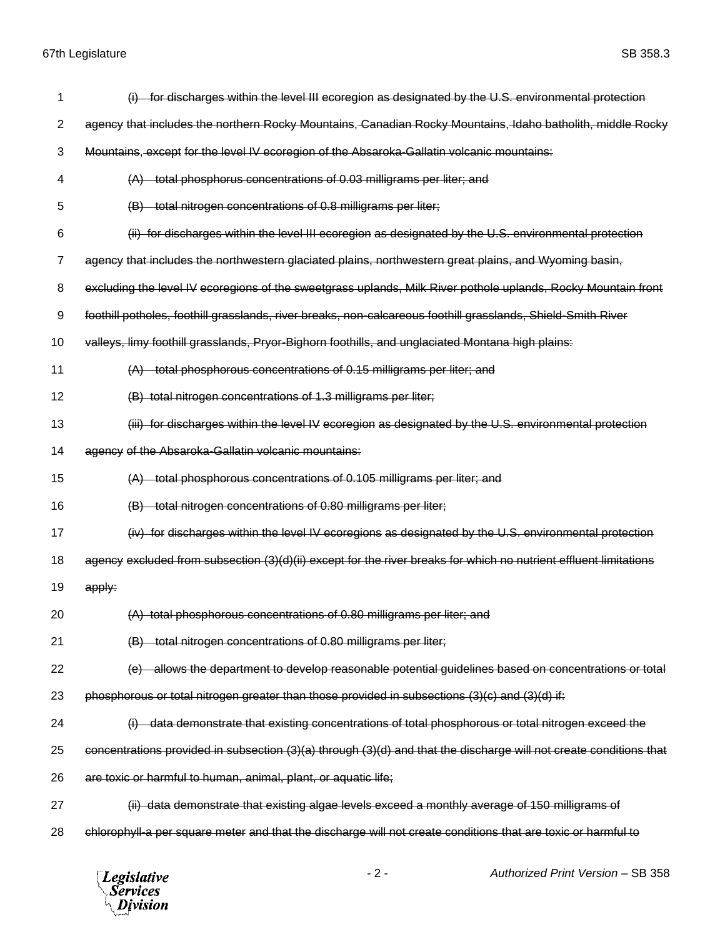| 1  | for discharges within the level III ecoregion as designated by the U.S. environmental protection                   |
|----|--------------------------------------------------------------------------------------------------------------------|
| 2  | agency that includes the northern Rocky Mountains, Canadian Rocky Mountains, Idaho batholith, middle Rocky         |
| 3  | Mountains, except for the level IV ecoregion of the Absaroka-Gallatin volcanic mountains:                          |
| 4  | total phosphorus concentrations of 0.03 milligrams per liter; and                                                  |
| 5  | total nitrogen concentrations of 0.8 milligrams per liter;                                                         |
| 6  | (ii) for discharges within the level III ecoregion as designated by the U.S. environmental protection              |
| 7  | agency that includes the northwestern glaciated plains, northwestern great plains, and Wyoming basin,              |
| 8  | excluding the level IV ecoregions of the sweetgrass uplands, Milk River pothole uplands, Rocky Mountain front      |
| 9  | foothill potholes, foothill grasslands, river breaks, non-calcareous foothill grasslands, Shield-Smith River       |
| 10 | valleys, limy foothill grasslands, Pryor-Bighorn foothills, and unglaciated Montana high plains:                   |
| 11 | total phosphorous concentrations of 0.15 milligrams per liter; and                                                 |
| 12 | (B) total nitrogen concentrations of 1.3 milligrams per liter;                                                     |
| 13 | (iii) for discharges within the level IV ecoregion as designated by the U.S. environmental protection              |
| 14 | agency of the Absaroka-Gallatin volcanic mountains:                                                                |
| 15 | (A) total phosphorous concentrations of 0.105 milligrams per liter; and                                            |
|    |                                                                                                                    |
| 16 | total nitrogen concentrations of 0.80 milligrams per liter;                                                        |
| 17 | (iv) for discharges within the level IV ecoregions as designated by the U.S. environmental protection              |
| 18 | agency excluded from subsection (3)(d)(ii) except for the river breaks for which no nutrient effluent limitations  |
| 19 | apply:                                                                                                             |
| 20 | (A) total phosphorous concentrations of 0.80 milligrams per liter; and                                             |
| 21 | (B) total nitrogen concentrations of 0.80 milligrams per liter;                                                    |
| 22 | allows the department to develop reasonable potential guidelines based on concentrations or total                  |
| 23 | phosphorous or total nitrogen greater than those provided in subsections (3)(c) and (3)(d) if:                     |
| 24 | data demonstrate that existing concentrations of total phosphorous or total nitrogen exceed the                    |
| 25 | concentrations provided in subsection (3)(a) through (3)(d) and that the discharge will not create conditions that |
| 26 | are toxic or harmful to human, animal, plant, or aquatic life;                                                     |
| 27 | (ii) data demonstrate that existing algae levels exceed a monthly average of 150 milligrams of                     |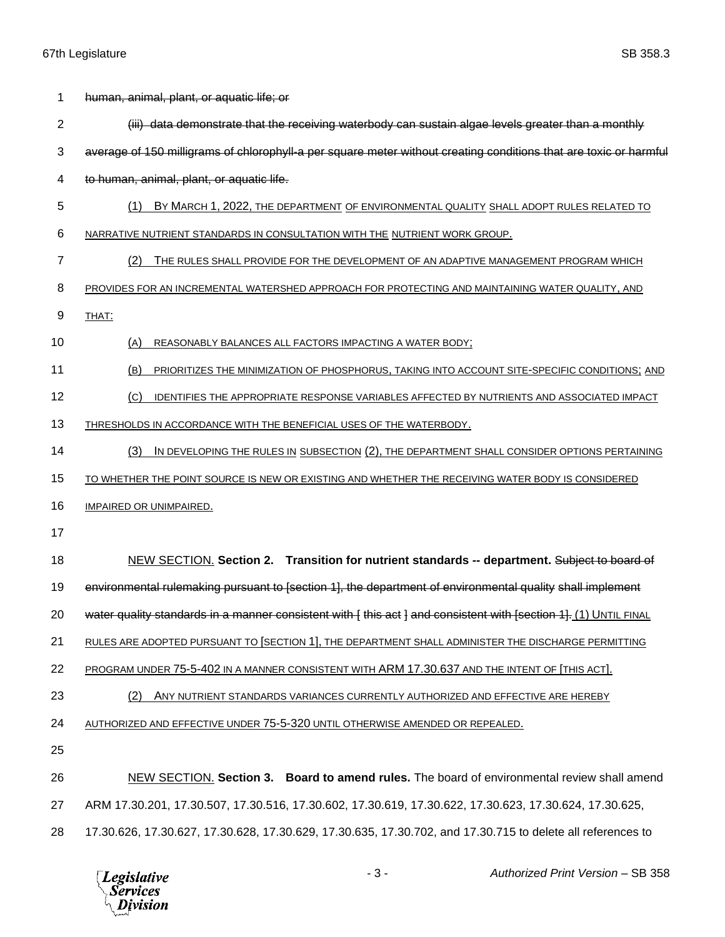| 1              | human, animal, plant, or aquatic life; or                                                                         |
|----------------|-------------------------------------------------------------------------------------------------------------------|
| $\overline{2}$ | (iii) data demonstrate that the receiving waterbody can sustain algae levels greater than a monthly               |
| 3              | average of 150 milligrams of chlorophyll-a per square meter without creating conditions that are toxic or harmful |
| 4              | to human, animal, plant, or aquatic life.                                                                         |
| 5              | BY MARCH 1, 2022, THE DEPARTMENT OF ENVIRONMENTAL QUALITY SHALL ADOPT RULES RELATED TO<br>(1)                     |
| 6              | NARRATIVE NUTRIENT STANDARDS IN CONSULTATION WITH THE NUTRIENT WORK GROUP.                                        |
| 7              | (2)<br>THE RULES SHALL PROVIDE FOR THE DEVELOPMENT OF AN ADAPTIVE MANAGEMENT PROGRAM WHICH                        |
| 8              | PROVIDES FOR AN INCREMENTAL WATERSHED APPROACH FOR PROTECTING AND MAINTAINING WATER QUALITY, AND                  |
| 9              | THAT:                                                                                                             |
| 10             | (A)<br>REASONABLY BALANCES ALL FACTORS IMPACTING A WATER BODY;                                                    |
| 11             | (B)<br>PRIORITIZES THE MINIMIZATION OF PHOSPHORUS, TAKING INTO ACCOUNT SITE-SPECIFIC CONDITIONS; AND              |
| 12             | (C)<br>IDENTIFIES THE APPROPRIATE RESPONSE VARIABLES AFFECTED BY NUTRIENTS AND ASSOCIATED IMPACT                  |
| 13             | THRESHOLDS IN ACCORDANCE WITH THE BENEFICIAL USES OF THE WATERBODY.                                               |
| 14             | IN DEVELOPING THE RULES IN SUBSECTION (2), THE DEPARTMENT SHALL CONSIDER OPTIONS PERTAINING<br>(3)                |
| 15             | TO WHETHER THE POINT SOURCE IS NEW OR EXISTING AND WHETHER THE RECEIVING WATER BODY IS CONSIDERED                 |
| 16             | <b>IMPAIRED OR UNIMPAIRED.</b>                                                                                    |
| 17             |                                                                                                                   |
| 18             | NEW SECTION. Section 2. Transition for nutrient standards -- department. Subject to board of                      |
| 19             | environmental rulemaking pursuant to [section 1], the department of environmental quality shall implement         |
| 20             | water quality standards in a manner consistent with [this act ] and consistent with [section 1]. (1) UNTIL FINAL  |
| 21             | RULES ARE ADOPTED PURSUANT TO SECTION 1], THE DEPARTMENT SHALL ADMINISTER THE DISCHARGE PERMITTING                |
| 22             | PROGRAM UNDER 75-5-402 IN A MANNER CONSISTENT WITH ARM 17.30.637 AND THE INTENT OF [THIS ACT].                    |
| 23             | (2)<br>ANY NUTRIENT STANDARDS VARIANCES CURRENTLY AUTHORIZED AND EFFECTIVE ARE HEREBY                             |
| 24             | AUTHORIZED AND EFFECTIVE UNDER 75-5-320 UNTIL OTHERWISE AMENDED OR REPEALED.                                      |
| 25             |                                                                                                                   |
| 26             | NEW SECTION. Section 3. Board to amend rules. The board of environmental review shall amend                       |
| 27             | ARM 17.30.201, 17.30.507, 17.30.516, 17.30.602, 17.30.619, 17.30.622, 17.30.623, 17.30.624, 17.30.625,            |
| 28             | 17.30.626, 17.30.627, 17.30.628, 17.30.629, 17.30.635, 17.30.702, and 17.30.715 to delete all references to       |

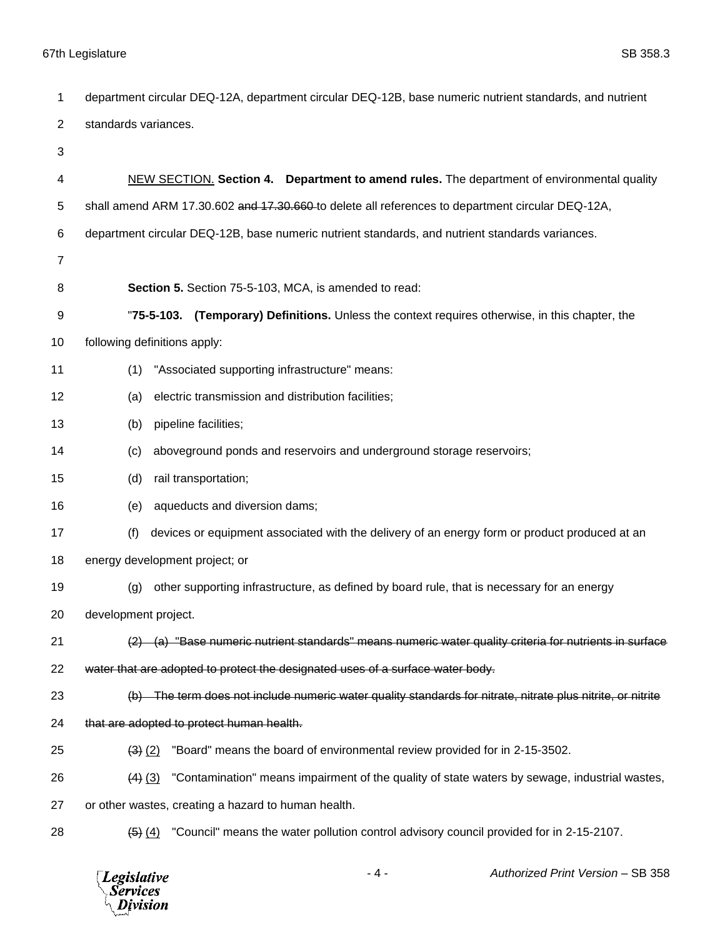| 1              | department circular DEQ-12A, department circular DEQ-12B, base numeric nutrient standards, and nutrient                          |
|----------------|----------------------------------------------------------------------------------------------------------------------------------|
| $\overline{2}$ | standards variances.                                                                                                             |
| 3              |                                                                                                                                  |
| 4              | NEW SECTION. Section 4. Department to amend rules. The department of environmental quality                                       |
| 5              | shall amend ARM 17.30.602 and 17.30.660-to delete all references to department circular DEQ-12A,                                 |
| 6              | department circular DEQ-12B, base numeric nutrient standards, and nutrient standards variances.                                  |
| $\overline{7}$ |                                                                                                                                  |
| 8              | Section 5. Section 75-5-103, MCA, is amended to read:                                                                            |
| 9              | "75-5-103. (Temporary) Definitions. Unless the context requires otherwise, in this chapter, the                                  |
| 10             | following definitions apply:                                                                                                     |
| 11             | "Associated supporting infrastructure" means:<br>(1)                                                                             |
| 12             | electric transmission and distribution facilities;<br>(a)                                                                        |
| 13             | pipeline facilities;<br>(b)                                                                                                      |
| 14             | aboveground ponds and reservoirs and underground storage reservoirs;<br>(c)                                                      |
| 15             | (d)<br>rail transportation;                                                                                                      |
| 16             | aqueducts and diversion dams;<br>(e)                                                                                             |
| 17             | (f)<br>devices or equipment associated with the delivery of an energy form or product produced at an                             |
| 18             | energy development project; or                                                                                                   |
| 19             | other supporting infrastructure, as defined by board rule, that is necessary for an energy<br>(g)                                |
| 20             | development project.                                                                                                             |
| 21             | $\langle 2 \rangle$ (a) "Base numeric nutrient standards" means numeric water quality criteria for nutrients in surface          |
| 22             | water that are adopted to protect the designated uses of a surface water body.                                                   |
| 23             | (b) The term does not include numeric water quality standards for nitrate, nitrate plus nitrite, or nitrite                      |
| 24             | that are adopted to protect human health.                                                                                        |
| 25             | "Board" means the board of environmental review provided for in 2-15-3502.<br>$(3)$ $(2)$                                        |
| 26             | "Contamination" means impairment of the quality of state waters by sewage, industrial wastes,<br>$(4)$ $(3)$                     |
| 27             | or other wastes, creating a hazard to human health.                                                                              |
| 28             | "Council" means the water pollution control advisory council provided for in 2-15-2107.<br>$\left( 5 \right)$ $\left( 4 \right)$ |
|                |                                                                                                                                  |

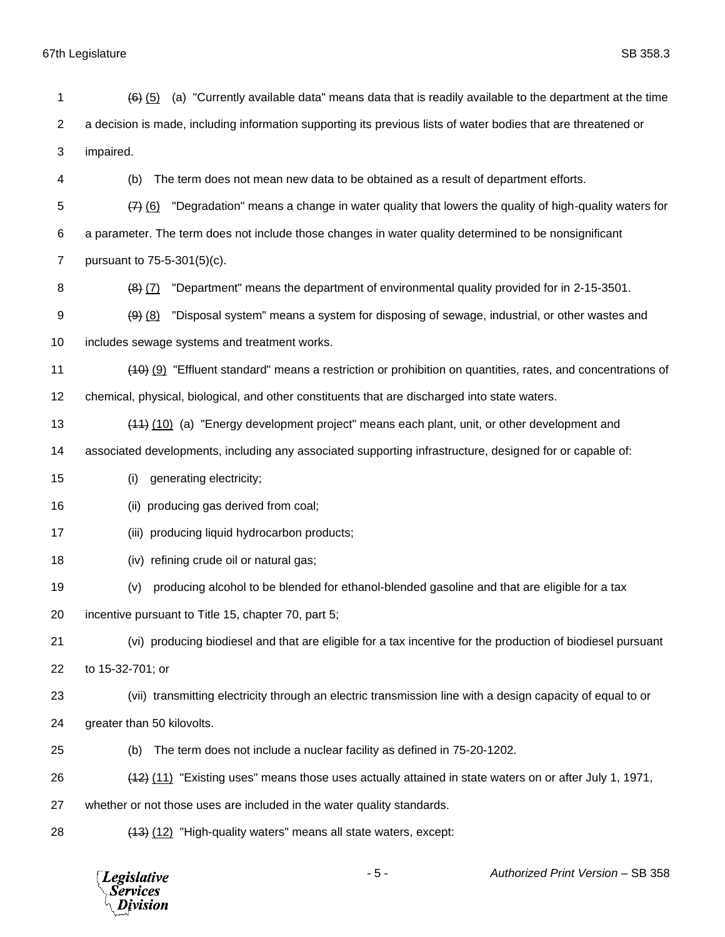| 1              | (a) "Currently available data" means data that is readily available to the department at the time<br>$(6)$ $(5)$ |
|----------------|------------------------------------------------------------------------------------------------------------------|
| $\overline{c}$ | a decision is made, including information supporting its previous lists of water bodies that are threatened or   |
| 3              | impaired.                                                                                                        |
| 4              | The term does not mean new data to be obtained as a result of department efforts.<br>(b)                         |
| 5              | "Degradation" means a change in water quality that lowers the quality of high-quality waters for<br>(7)(6)       |
| 6              | a parameter. The term does not include those changes in water quality determined to be nonsignificant            |
| $\overline{7}$ | pursuant to 75-5-301(5)(c).                                                                                      |
| 8              | "Department" means the department of environmental quality provided for in 2-15-3501.<br>$(8)$ $(7)$             |
| 9              | "Disposal system" means a system for disposing of sewage, industrial, or other wastes and<br>$(9)$ $(8)$         |
| 10             | includes sewage systems and treatment works.                                                                     |
| 11             | (40) (9) "Effluent standard" means a restriction or prohibition on quantities, rates, and concentrations of      |
| 12             | chemical, physical, biological, and other constituents that are discharged into state waters.                    |
| 13             | (44) (10) (a) "Energy development project" means each plant, unit, or other development and                      |
| 14             | associated developments, including any associated supporting infrastructure, designed for or capable of:         |
| 15             | generating electricity;<br>(i)                                                                                   |
| 16             | producing gas derived from coal;<br>(ii)                                                                         |
| 17             | producing liquid hydrocarbon products;<br>(iii)                                                                  |
| 18             | refining crude oil or natural gas;<br>(iv)                                                                       |
| 19             | producing alcohol to be blended for ethanol-blended gasoline and that are eligible for a tax<br>(v)              |
| 20             | incentive pursuant to Title 15, chapter 70, part 5;                                                              |
| 21             | (vi) producing biodiesel and that are eligible for a tax incentive for the production of biodiesel pursuant      |
| 22             | to 15-32-701; or                                                                                                 |
| 23             | (vii) transmitting electricity through an electric transmission line with a design capacity of equal to or       |
| 24             | greater than 50 kilovolts.                                                                                       |
| 25             | The term does not include a nuclear facility as defined in 75-20-1202.<br>(b)                                    |
| 26             | (11) "Existing uses" means those uses actually attained in state waters on or after July 1, 1971,                |
| 27             | whether or not those uses are included in the water quality standards.                                           |
| 28             | (13) (12) "High-quality waters" means all state waters, except:                                                  |
|                |                                                                                                                  |

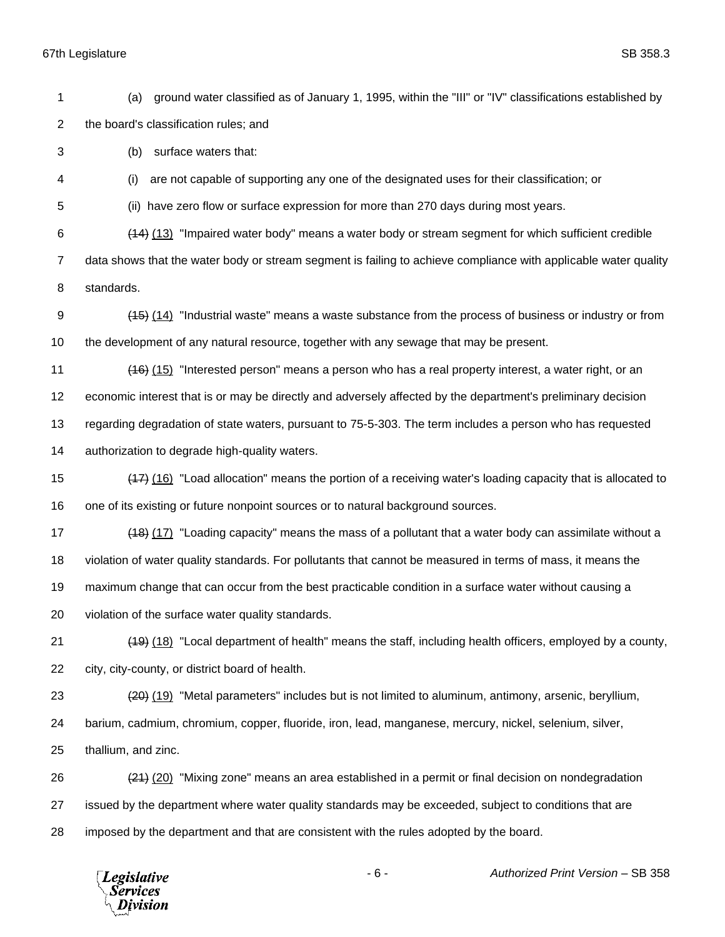(a) ground water classified as of January 1, 1995, within the "III" or "IV" classifications established by the board's classification rules; and

(b) surface waters that:

(i) are not capable of supporting any one of the designated uses for their classification; or

(ii) have zero flow or surface expression for more than 270 days during most years.

 (14) (13) "Impaired water body" means a water body or stream segment for which sufficient credible data shows that the water body or stream segment is failing to achieve compliance with applicable water quality

standards.

 (15) (14) "Industrial waste" means a waste substance from the process of business or industry or from the development of any natural resource, together with any sewage that may be present.

(16) (15) "Interested person" means a person who has a real property interest, a water right, or an

economic interest that is or may be directly and adversely affected by the department's preliminary decision

regarding degradation of state waters, pursuant to 75-5-303. The term includes a person who has requested

authorization to degrade high-quality waters.

 (17) (16) "Load allocation" means the portion of a receiving water's loading capacity that is allocated to one of its existing or future nonpoint sources or to natural background sources.

17 (18) (17) "Loading capacity" means the mass of a pollutant that a water body can assimilate without a violation of water quality standards. For pollutants that cannot be measured in terms of mass, it means the

maximum change that can occur from the best practicable condition in a surface water without causing a

violation of the surface water quality standards.

 (19) (18) "Local department of health" means the staff, including health officers, employed by a county, city, city-county, or district board of health.

(20) (19) "Metal parameters" includes but is not limited to aluminum, antimony, arsenic, beryllium,

barium, cadmium, chromium, copper, fluoride, iron, lead, manganese, mercury, nickel, selenium, silver,

thallium, and zinc.

 (21) (20) "Mixing zone" means an area established in a permit or final decision on nondegradation issued by the department where water quality standards may be exceeded, subject to conditions that are imposed by the department and that are consistent with the rules adopted by the board.

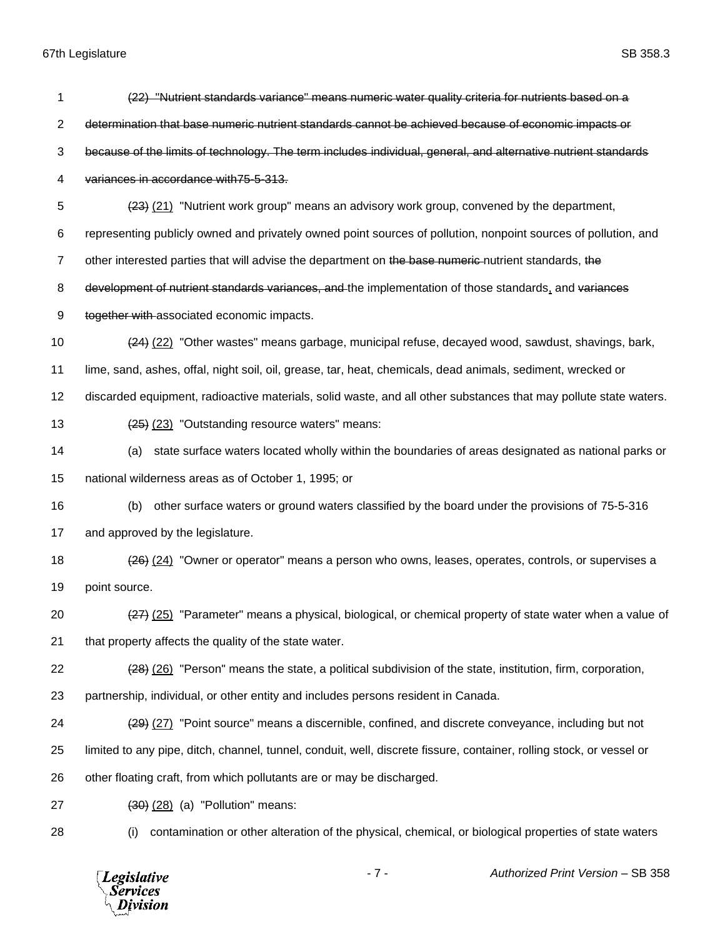| 1              | (22) "Nutrient standards variance" means numeric water quality criteria for nutrients based on a                     |
|----------------|----------------------------------------------------------------------------------------------------------------------|
| 2              | determination that base numeric nutrient standards cannot be achieved because of economic impacts or                 |
| 3              | because of the limits of technology. The term includes individual, general, and alternative nutrient standards       |
| 4              | variances in accordance with 75-5-313.                                                                               |
| 5              | (23) (21) "Nutrient work group" means an advisory work group, convened by the department,                            |
| 6              | representing publicly owned and privately owned point sources of pollution, nonpoint sources of pollution, and       |
| $\overline{7}$ | other interested parties that will advise the department on the base numeric nutrient standards, the                 |
| 8              | development of nutrient standards variances, and the implementation of those standards, and variances                |
| 9              | together with associated economic impacts.                                                                           |
| 10             | (22) "Other wastes" means garbage, municipal refuse, decayed wood, sawdust, shavings, bark,                          |
| 11             | lime, sand, ashes, offal, night soil, oil, grease, tar, heat, chemicals, dead animals, sediment, wrecked or          |
| 12             | discarded equipment, radioactive materials, solid waste, and all other substances that may pollute state waters.     |
| 13             | (25) (23) "Outstanding resource waters" means:                                                                       |
| 14             | state surface waters located wholly within the boundaries of areas designated as national parks or<br>(a)            |
| 15             | national wilderness areas as of October 1, 1995; or                                                                  |
| 16             | other surface waters or ground waters classified by the board under the provisions of 75-5-316<br>(b)                |
| 17             | and approved by the legislature.                                                                                     |
| 18             | (24) "Owner or operator" means a person who owns, leases, operates, controls, or supervises a                        |
| 19             | point source.                                                                                                        |
| 20             | (27) (25) "Parameter" means a physical, biological, or chemical property of state water when a value of              |
| 21             | that property affects the quality of the state water.                                                                |
| 22             | (28) (26) "Person" means the state, a political subdivision of the state, institution, firm, corporation,            |
| 23             | partnership, individual, or other entity and includes persons resident in Canada.                                    |
| 24             | (29) (27) "Point source" means a discernible, confined, and discrete conveyance, including but not                   |
| 25             | limited to any pipe, ditch, channel, tunnel, conduit, well, discrete fissure, container, rolling stock, or vessel or |
| 26             | other floating craft, from which pollutants are or may be discharged.                                                |
| 27             | $(30)$ $(28)$ $(a)$ "Pollution" means:                                                                               |
| 28             | contamination or other alteration of the physical, chemical, or biological properties of state waters<br>(i)         |

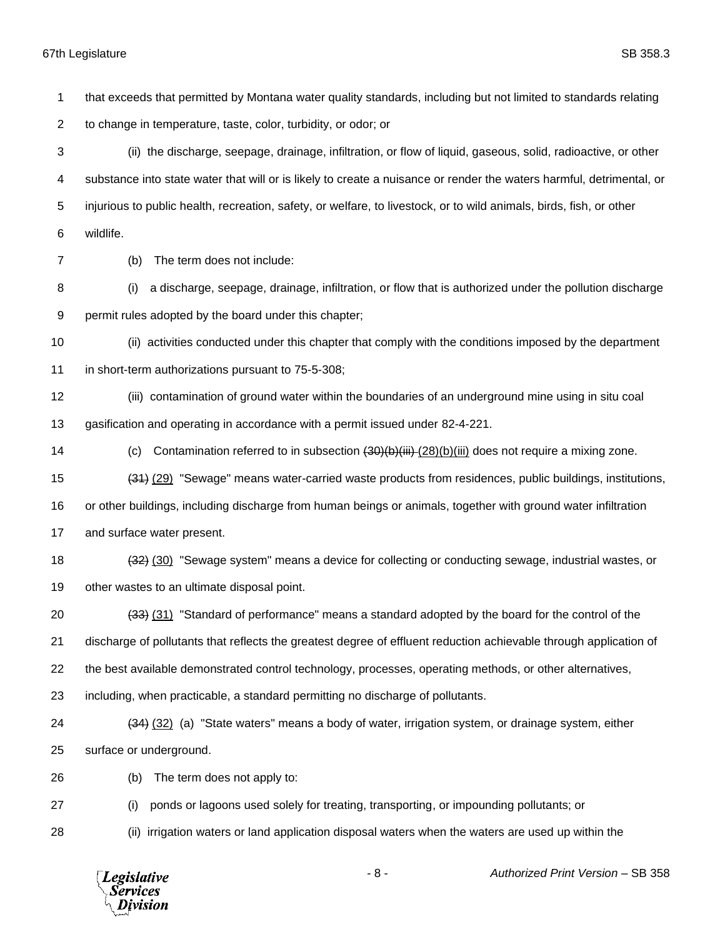that exceeds that permitted by Montana water quality standards, including but not limited to standards relating to change in temperature, taste, color, turbidity, or odor; or (ii) the discharge, seepage, drainage, infiltration, or flow of liquid, gaseous, solid, radioactive, or other substance into state water that will or is likely to create a nuisance or render the waters harmful, detrimental, or injurious to public health, recreation, safety, or welfare, to livestock, or to wild animals, birds, fish, or other wildlife. (b) The term does not include: (i) a discharge, seepage, drainage, infiltration, or flow that is authorized under the pollution discharge permit rules adopted by the board under this chapter; (ii) activities conducted under this chapter that comply with the conditions imposed by the department in short-term authorizations pursuant to 75-5-308; (iii) contamination of ground water within the boundaries of an underground mine using in situ coal gasification and operating in accordance with a permit issued under 82-4-221. 14 (c) Contamination referred to in subsection  $(30)(b)(iii)-(28)(b)(iii)$  does not require a mixing zone. (31) (29) "Sewage" means water-carried waste products from residences, public buildings, institutions, or other buildings, including discharge from human beings or animals, together with ground water infiltration and surface water present. 18 (32) (30) "Sewage system" means a device for collecting or conducting sewage, industrial wastes, or other wastes to an ultimate disposal point. (33) (31) "Standard of performance" means a standard adopted by the board for the control of the discharge of pollutants that reflects the greatest degree of effluent reduction achievable through application of the best available demonstrated control technology, processes, operating methods, or other alternatives, including, when practicable, a standard permitting no discharge of pollutants. (34) (32) (a) "State waters" means a body of water, irrigation system, or drainage system, either surface or underground. (b) The term does not apply to: (i) ponds or lagoons used solely for treating, transporting, or impounding pollutants; or (ii) irrigation waters or land application disposal waters when the waters are used up within the



- 8 - *Authorized Print Version* – SB 358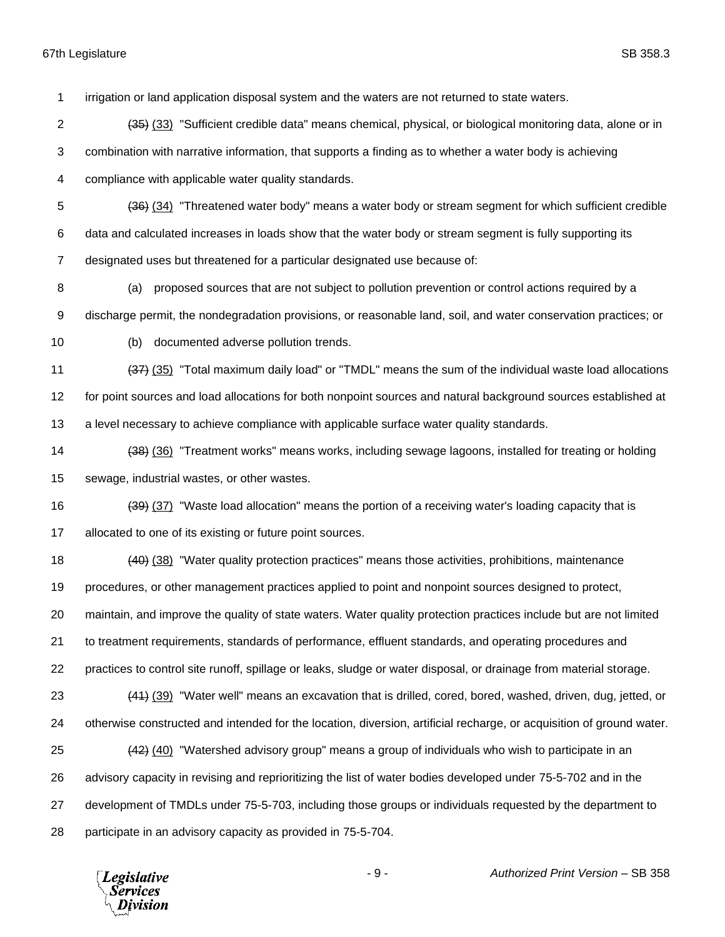irrigation or land application disposal system and the waters are not returned to state waters.

- (35) (33) "Sufficient credible data" means chemical, physical, or biological monitoring data, alone or in combination with narrative information, that supports a finding as to whether a water body is achieving compliance with applicable water quality standards.
- (36) (34) "Threatened water body" means a water body or stream segment for which sufficient credible
- data and calculated increases in loads show that the water body or stream segment is fully supporting its
- designated uses but threatened for a particular designated use because of:
- (a) proposed sources that are not subject to pollution prevention or control actions required by a
- discharge permit, the nondegradation provisions, or reasonable land, soil, and water conservation practices; or
- 
- (b) documented adverse pollution trends.
- 11 (37) (35) "Total maximum daily load" or "TMDL" means the sum of the individual waste load allocations for point sources and load allocations for both nonpoint sources and natural background sources established at
- a level necessary to achieve compliance with applicable surface water quality standards.
- (38) (36) "Treatment works" means works, including sewage lagoons, installed for treating or holding sewage, industrial wastes, or other wastes.
- 16 (39) (37) "Waste load allocation" means the portion of a receiving water's loading capacity that is 17 allocated to one of its existing or future point sources.
- 18 (40) (38) "Water quality protection practices" means those activities, prohibitions, maintenance
- procedures, or other management practices applied to point and nonpoint sources designed to protect,
- maintain, and improve the quality of state waters. Water quality protection practices include but are not limited
- to treatment requirements, standards of performance, effluent standards, and operating procedures and
- practices to control site runoff, spillage or leaks, sludge or water disposal, or drainage from material storage.
- 23 (44) (39) "Water well" means an excavation that is drilled, cored, bored, washed, driven, dug, jetted, or otherwise constructed and intended for the location, diversion, artificial recharge, or acquisition of ground water. (42) (40) "Watershed advisory group" means a group of individuals who wish to participate in an advisory capacity in revising and reprioritizing the list of water bodies developed under 75-5-702 and in the development of TMDLs under 75-5-703, including those groups or individuals requested by the department to
- participate in an advisory capacity as provided in 75-5-704.

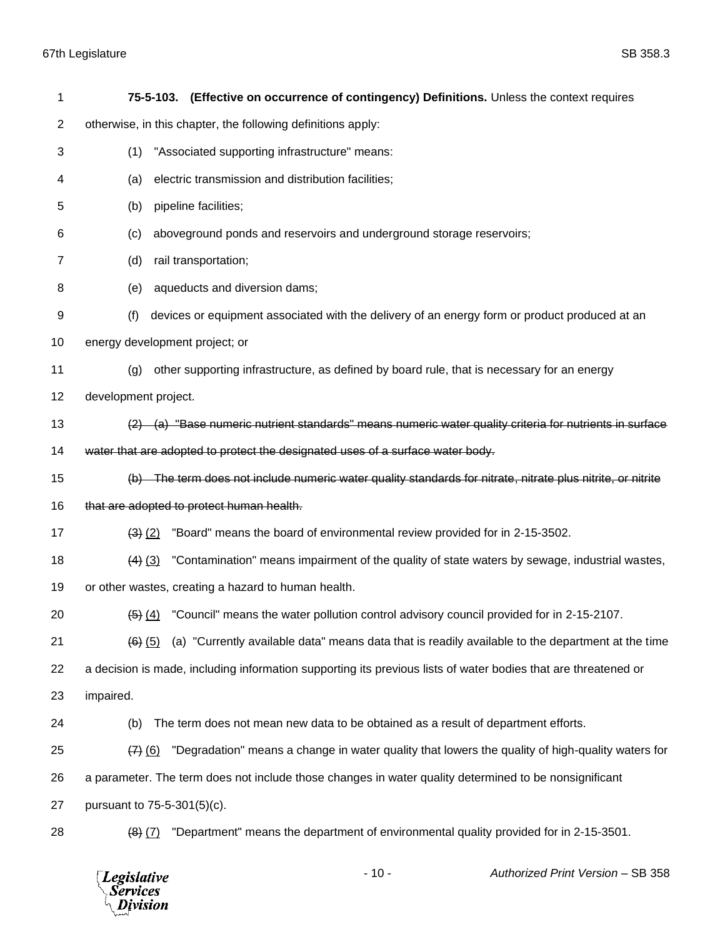| 1  | 75-5-103. (Effective on occurrence of contingency) Definitions. Unless the context requires                    |
|----|----------------------------------------------------------------------------------------------------------------|
| 2  | otherwise, in this chapter, the following definitions apply:                                                   |
| 3  | "Associated supporting infrastructure" means:<br>(1)                                                           |
| 4  | electric transmission and distribution facilities;<br>(a)                                                      |
| 5  | pipeline facilities;<br>(b)                                                                                    |
| 6  | aboveground ponds and reservoirs and underground storage reservoirs;<br>(c)                                    |
| 7  | rail transportation;<br>(d)                                                                                    |
| 8  | aqueducts and diversion dams;<br>(e)                                                                           |
| 9  | devices or equipment associated with the delivery of an energy form or product produced at an<br>(f)           |
| 10 | energy development project; or                                                                                 |
| 11 | other supporting infrastructure, as defined by board rule, that is necessary for an energy<br>(g)              |
| 12 | development project.                                                                                           |
| 13 | $(2)$ (a) "Base numeric nutrient standards" means numeric water quality criteria for nutrients in surface      |
| 14 | water that are adopted to protect the designated uses of a surface water body.                                 |
| 15 | (b) The term does not include numeric water quality standards for nitrate, nitrate plus nitrite, or nitrite    |
| 16 | that are adopted to protect human health.                                                                      |
| 17 | "Board" means the board of environmental review provided for in 2-15-3502.<br>$(3)$ $(2)$                      |
| 18 | "Contamination" means impairment of the quality of state waters by sewage, industrial wastes,<br>$(4)$ $(3)$   |
| 19 | or other wastes, creating a hazard to human health.                                                            |
| 20 | $\frac{4}{5}$ (4) "Council" means the water pollution control advisory council provided for in 2-15-2107.      |
| 21 | (a) "Currently available data" means data that is readily available to the department at the time<br>$(6)$ (5) |
| 22 | a decision is made, including information supporting its previous lists of water bodies that are threatened or |
| 23 | impaired.                                                                                                      |
| 24 | The term does not mean new data to be obtained as a result of department efforts.<br>(b)                       |
| 25 | "Degradation" means a change in water quality that lowers the quality of high-quality waters for<br>$(7)$ (6)  |
| 26 | a parameter. The term does not include those changes in water quality determined to be nonsignificant          |
| 27 | pursuant to 75-5-301(5)(c).                                                                                    |
| 28 | "Department" means the department of environmental quality provided for in 2-15-3501.<br>$(8)$ $(7)$           |

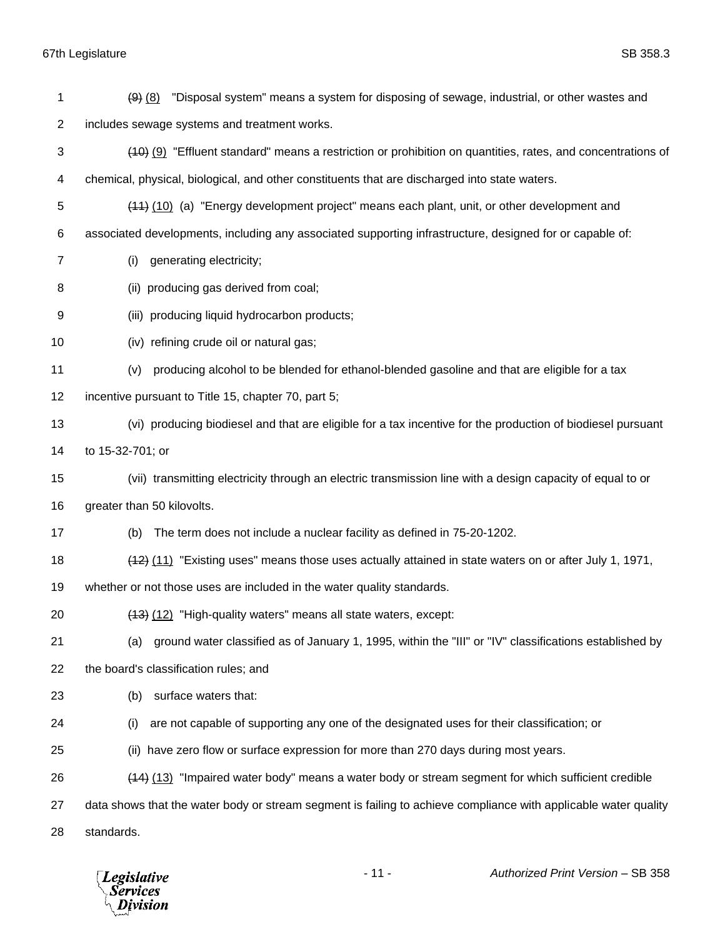| 1              | "Disposal system" means a system for disposing of sewage, industrial, or other wastes and<br>$(9)$ $(8)$        |
|----------------|-----------------------------------------------------------------------------------------------------------------|
| $\overline{c}$ | includes sewage systems and treatment works.                                                                    |
| 3              | (40) (9) "Effluent standard" means a restriction or prohibition on quantities, rates, and concentrations of     |
| 4              | chemical, physical, biological, and other constituents that are discharged into state waters.                   |
| 5              | (44) (10) (a) "Energy development project" means each plant, unit, or other development and                     |
| 6              | associated developments, including any associated supporting infrastructure, designed for or capable of:        |
| 7              | generating electricity;<br>(i)                                                                                  |
| 8              | (ii) producing gas derived from coal;                                                                           |
| 9              | (iii) producing liquid hydrocarbon products;                                                                    |
| 10             | (iv) refining crude oil or natural gas;                                                                         |
| 11             | producing alcohol to be blended for ethanol-blended gasoline and that are eligible for a tax<br>(v)             |
| 12             | incentive pursuant to Title 15, chapter 70, part 5;                                                             |
| 13             | (vi) producing biodiesel and that are eligible for a tax incentive for the production of biodiesel pursuant     |
| 14             | to 15-32-701; or                                                                                                |
| 15             | (vii) transmitting electricity through an electric transmission line with a design capacity of equal to or      |
| 16             | greater than 50 kilovolts.                                                                                      |
| 17             | The term does not include a nuclear facility as defined in 75-20-1202.<br>(b)                                   |
| 18             | (42) (11) "Existing uses" means those uses actually attained in state waters on or after July 1, 1971,          |
| 19             | whether or not those uses are included in the water quality standards.                                          |
| 20             | (13) (12) "High-quality waters" means all state waters, except:                                                 |
| 21             | ground water classified as of January 1, 1995, within the "III" or "IV" classifications established by<br>(a)   |
| 22             | the board's classification rules; and                                                                           |
| 23             | surface waters that:<br>(b)                                                                                     |
| 24             | are not capable of supporting any one of the designated uses for their classification; or<br>(i)                |
| 25             | (ii) have zero flow or surface expression for more than 270 days during most years.                             |
| 26             | (13) "Impaired water body" means a water body or stream segment for which sufficient credible                   |
| 27             | data shows that the water body or stream segment is failing to achieve compliance with applicable water quality |
| 28             | standards.                                                                                                      |

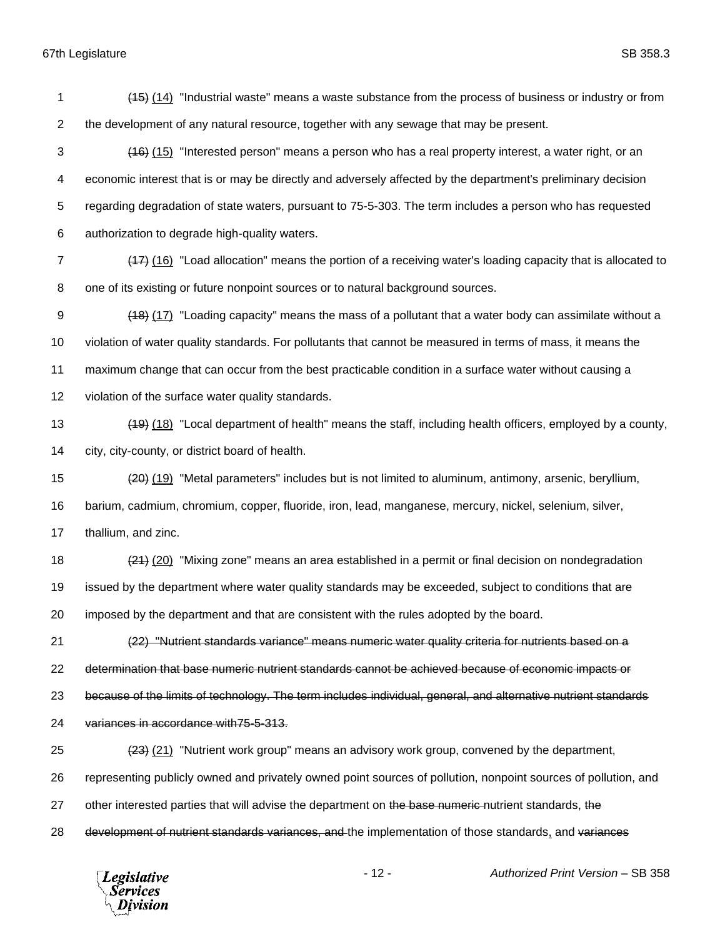(15) (14) "Industrial waste" means a waste substance from the process of business or industry or from the development of any natural resource, together with any sewage that may be present. 3 (16) (15) "Interested person" means a person who has a real property interest, a water right, or an economic interest that is or may be directly and adversely affected by the department's preliminary decision regarding degradation of state waters, pursuant to 75-5-303. The term includes a person who has requested authorization to degrade high-quality waters. (17) (16) "Load allocation" means the portion of a receiving water's loading capacity that is allocated to one of its existing or future nonpoint sources or to natural background sources. (18) (17) "Loading capacity" means the mass of a pollutant that a water body can assimilate without a violation of water quality standards. For pollutants that cannot be measured in terms of mass, it means the maximum change that can occur from the best practicable condition in a surface water without causing a violation of the surface water quality standards. (19) (18) "Local department of health" means the staff, including health officers, employed by a county, city, city-county, or district board of health. (20) (19) "Metal parameters" includes but is not limited to aluminum, antimony, arsenic, beryllium, barium, cadmium, chromium, copper, fluoride, iron, lead, manganese, mercury, nickel, selenium, silver, thallium, and zinc. 18 (21) (20) "Mixing zone" means an area established in a permit or final decision on nondegradation issued by the department where water quality standards may be exceeded, subject to conditions that are imposed by the department and that are consistent with the rules adopted by the board. (22) "Nutrient standards variance" means numeric water quality criteria for nutrients based on a determination that base numeric nutrient standards cannot be achieved because of economic impacts or because of the limits of technology. The term includes individual, general, and alternative nutrient standards variances in accordance with75-5-313. (23) (21) "Nutrient work group" means an advisory work group, convened by the department, representing publicly owned and privately owned point sources of pollution, nonpoint sources of pollution, and 27 other interested parties that will advise the department on the base numeric nutrient standards, the

28 development of nutrient standards variances, and the implementation of those standards, and variances

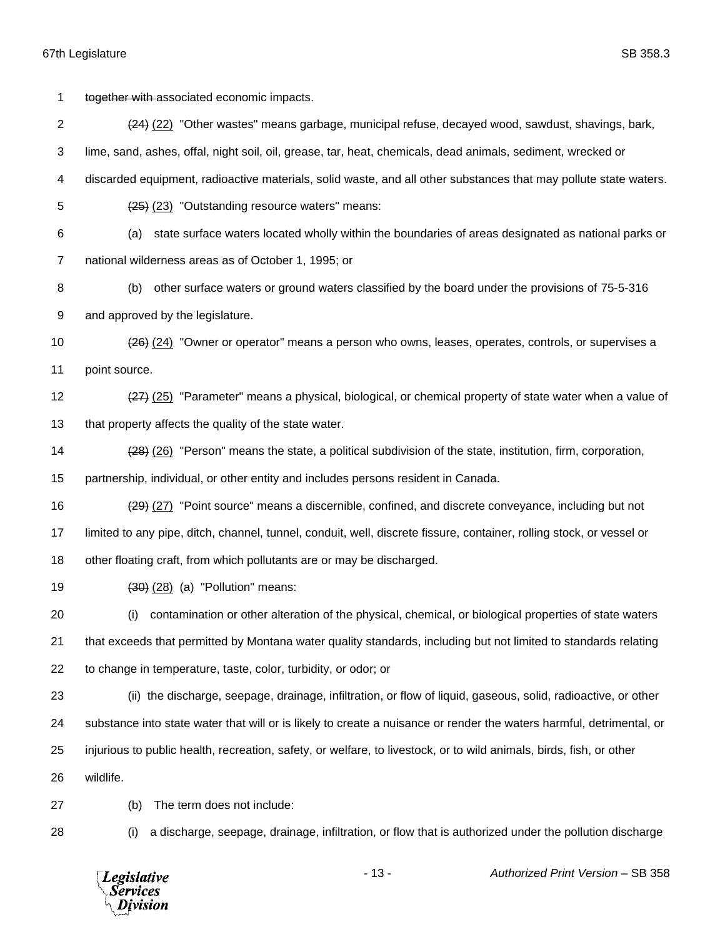1 together with associated economic impacts. (24) (22) "Other wastes" means garbage, municipal refuse, decayed wood, sawdust, shavings, bark, lime, sand, ashes, offal, night soil, oil, grease, tar, heat, chemicals, dead animals, sediment, wrecked or discarded equipment, radioactive materials, solid waste, and all other substances that may pollute state waters. (25) (23) "Outstanding resource waters" means: (a) state surface waters located wholly within the boundaries of areas designated as national parks or national wilderness areas as of October 1, 1995; or (b) other surface waters or ground waters classified by the board under the provisions of 75-5-316 and approved by the legislature. (26) (24) "Owner or operator" means a person who owns, leases, operates, controls, or supervises a point source. 12 (27) (25) "Parameter" means a physical, biological, or chemical property of state water when a value of 13 that property affects the quality of the state water. (28) (26) "Person" means the state, a political subdivision of the state, institution, firm, corporation, partnership, individual, or other entity and includes persons resident in Canada. (29) (27) "Point source" means a discernible, confined, and discrete conveyance, including but not limited to any pipe, ditch, channel, tunnel, conduit, well, discrete fissure, container, rolling stock, or vessel or other floating craft, from which pollutants are or may be discharged. (30) (28) (a) "Pollution" means: (i) contamination or other alteration of the physical, chemical, or biological properties of state waters that exceeds that permitted by Montana water quality standards, including but not limited to standards relating to change in temperature, taste, color, turbidity, or odor; or (ii) the discharge, seepage, drainage, infiltration, or flow of liquid, gaseous, solid, radioactive, or other substance into state water that will or is likely to create a nuisance or render the waters harmful, detrimental, or injurious to public health, recreation, safety, or welfare, to livestock, or to wild animals, birds, fish, or other wildlife. (b) The term does not include: (i) a discharge, seepage, drainage, infiltration, or flow that is authorized under the pollution discharge

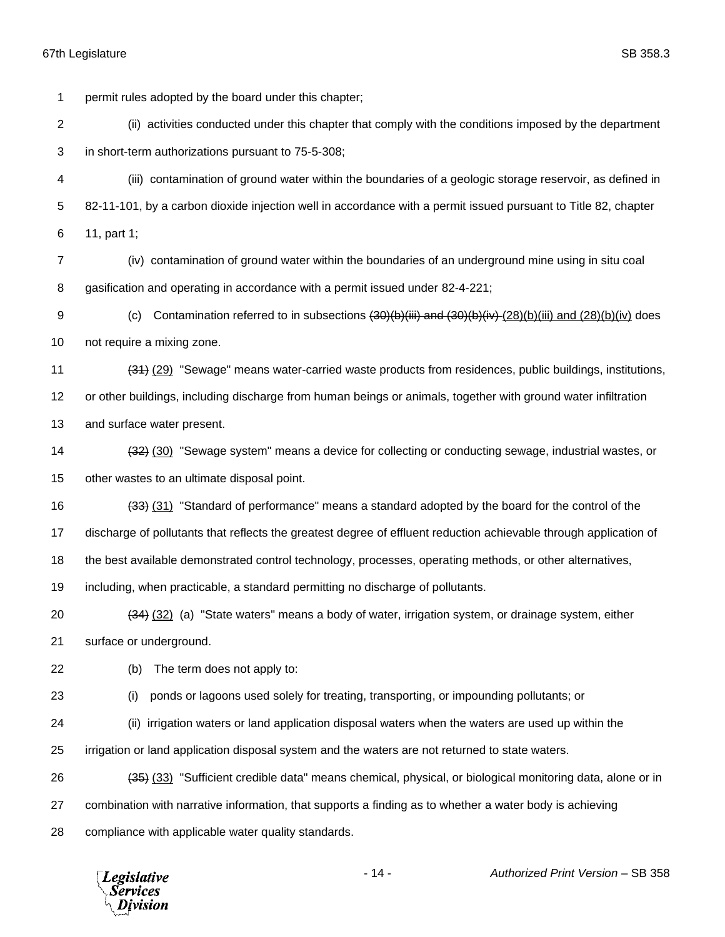permit rules adopted by the board under this chapter;

 (ii) activities conducted under this chapter that comply with the conditions imposed by the department in short-term authorizations pursuant to 75-5-308;

 (iii) contamination of ground water within the boundaries of a geologic storage reservoir, as defined in 82-11-101, by a carbon dioxide injection well in accordance with a permit issued pursuant to Title 82, chapter 11, part 1;

 (iv) contamination of ground water within the boundaries of an underground mine using in situ coal gasification and operating in accordance with a permit issued under 82-4-221;

9 (c) Contamination referred to in subsections  $\left(30\right)\left(b\right)\left(iii\right)$  and  $\left(30\right)\left(b\right)\left(iii\right)$  and  $\left(28\right)\left(b\right)\left(iv\right)$  does not require a mixing zone.

 (31) (29) "Sewage" means water-carried waste products from residences, public buildings, institutions, or other buildings, including discharge from human beings or animals, together with ground water infiltration and surface water present.

14 (32) (30) "Sewage system" means a device for collecting or conducting sewage, industrial wastes, or other wastes to an ultimate disposal point.

(33) (31) "Standard of performance" means a standard adopted by the board for the control of the

discharge of pollutants that reflects the greatest degree of effluent reduction achievable through application of

the best available demonstrated control technology, processes, operating methods, or other alternatives,

including, when practicable, a standard permitting no discharge of pollutants.

 (34) (32) (a) "State waters" means a body of water, irrigation system, or drainage system, either surface or underground.

(b) The term does not apply to:

(i) ponds or lagoons used solely for treating, transporting, or impounding pollutants; or

(ii) irrigation waters or land application disposal waters when the waters are used up within the

irrigation or land application disposal system and the waters are not returned to state waters.

(35) (33) "Sufficient credible data" means chemical, physical, or biological monitoring data, alone or in

combination with narrative information, that supports a finding as to whether a water body is achieving

compliance with applicable water quality standards.

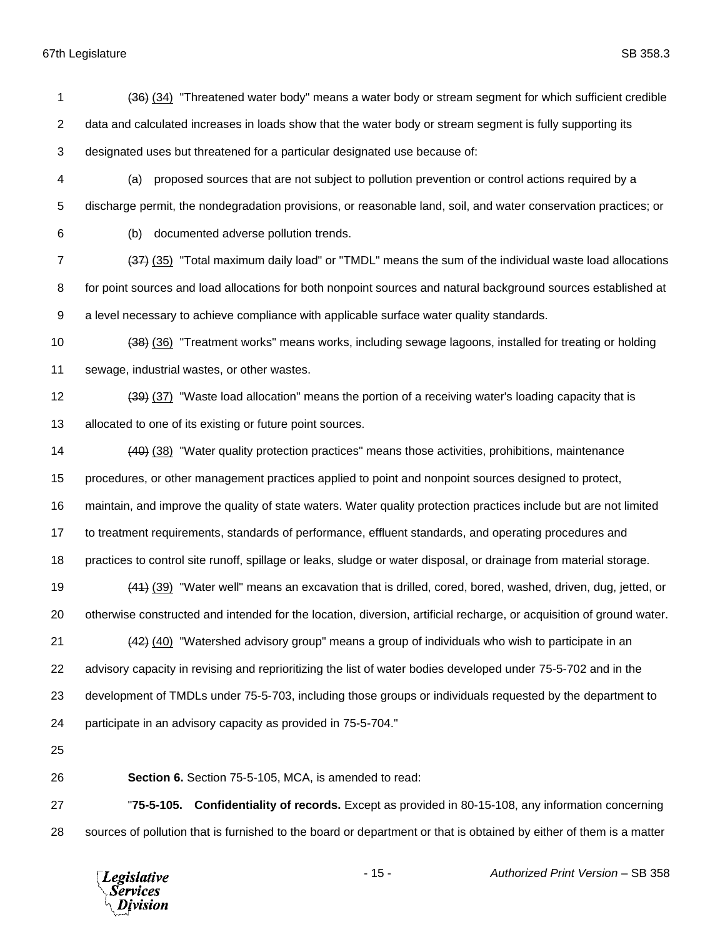1 (36) (34) "Threatened water body" means a water body or stream segment for which sufficient credible 2 data and calculated increases in loads show that the water body or stream segment is fully supporting its designated uses but threatened for a particular designated use because of: (a) proposed sources that are not subject to pollution prevention or control actions required by a discharge permit, the nondegradation provisions, or reasonable land, soil, and water conservation practices; or (b) documented adverse pollution trends. (37) (35) "Total maximum daily load" or "TMDL" means the sum of the individual waste load allocations for point sources and load allocations for both nonpoint sources and natural background sources established at a level necessary to achieve compliance with applicable surface water quality standards. (38) (36) "Treatment works" means works, including sewage lagoons, installed for treating or holding sewage, industrial wastes, or other wastes. 12 (39) (37) "Waste load allocation" means the portion of a receiving water's loading capacity that is allocated to one of its existing or future point sources. (40) (38) "Water quality protection practices" means those activities, prohibitions, maintenance procedures, or other management practices applied to point and nonpoint sources designed to protect, maintain, and improve the quality of state waters. Water quality protection practices include but are not limited to treatment requirements, standards of performance, effluent standards, and operating procedures and practices to control site runoff, spillage or leaks, sludge or water disposal, or drainage from material storage. (41) (39) "Water well" means an excavation that is drilled, cored, bored, washed, driven, dug, jetted, or otherwise constructed and intended for the location, diversion, artificial recharge, or acquisition of ground water. 21 (42) (40) "Watershed advisory group" means a group of individuals who wish to participate in an advisory capacity in revising and reprioritizing the list of water bodies developed under 75-5-702 and in the development of TMDLs under 75-5-703, including those groups or individuals requested by the department to participate in an advisory capacity as provided in 75-5-704." **Section 6.** Section 75-5-105, MCA, is amended to read: "**75-5-105. Confidentiality of records.** Except as provided in 80-15-108, any information concerning

sources of pollution that is furnished to the board or department or that is obtained by either of them is a matter

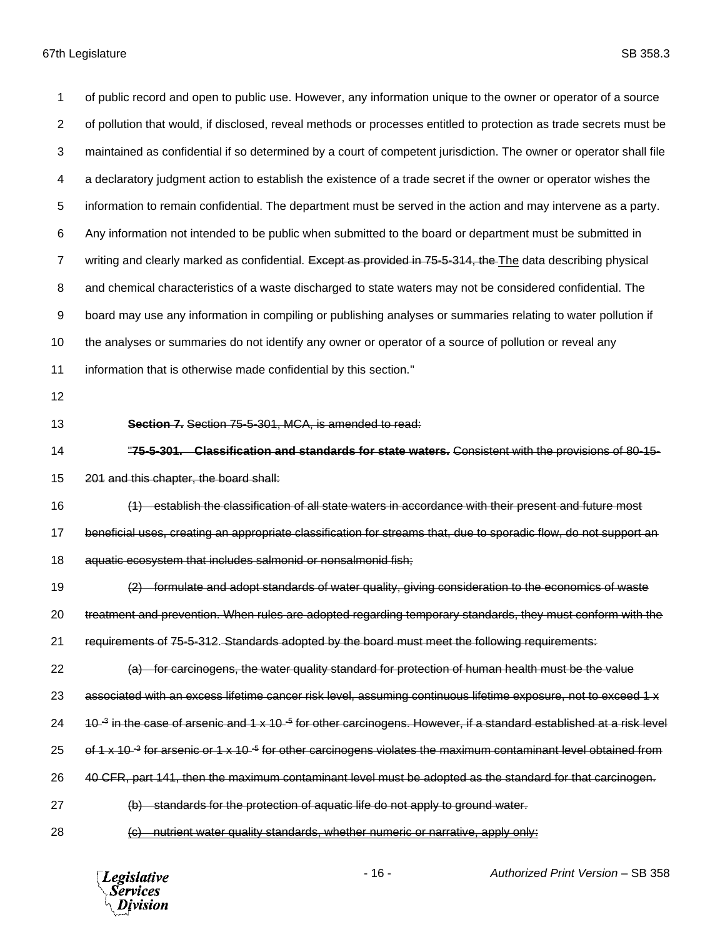of public record and open to public use. However, any information unique to the owner or operator of a source of pollution that would, if disclosed, reveal methods or processes entitled to protection as trade secrets must be maintained as confidential if so determined by a court of competent jurisdiction. The owner or operator shall file a declaratory judgment action to establish the existence of a trade secret if the owner or operator wishes the information to remain confidential. The department must be served in the action and may intervene as a party. Any information not intended to be public when submitted to the board or department must be submitted in 7 writing and clearly marked as confidential. Except as provided in 75-5-314, the The data describing physical and chemical characteristics of a waste discharged to state waters may not be considered confidential. The board may use any information in compiling or publishing analyses or summaries relating to water pollution if 10 the analyses or summaries do not identify any owner or operator of a source of pollution or reveal any information that is otherwise made confidential by this section." **Section 7.** Section 75-5-301, MCA, is amended to read: "**75-5-301. Classification and standards for state waters.** Consistent with the provisions of 80-15- 201 and this chapter, the board shall: (1) establish the classification of all state waters in accordance with their present and future most beneficial uses, creating an appropriate classification for streams that, due to sporadic flow, do not support an aquatic ecosystem that includes salmonid or nonsalmonid fish; (2) formulate and adopt standards of water quality, giving consideration to the economics of waste treatment and prevention. When rules are adopted regarding temporary standards, they must conform with the requirements of 75-5-312. Standards adopted by the board must meet the following requirements: (a) for carcinogens, the water quality standard for protection of human health must be the value 23 associated with an excess lifetime cancer risk level, assuming continuous lifetime exposure, not to exceed 1 x 24 a 10-<sup>3</sup> in the case of arsenic and 1 x 10-<sup>5</sup> for other carcinogens. However, if a standard established at a risk level 25 of 1 x 10-<sup>3</sup> for arsenic or 1 x 10-<sup>5</sup> for other carcinogens violates the maximum contaminant level obtained from 26 40 CFR, part 141, then the maximum contaminant level must be adopted as the standard for that carcinogen. (b) standards for the protection of aquatic life do not apply to ground water. (c) nutrient water quality standards, whether numeric or narrative, apply only:

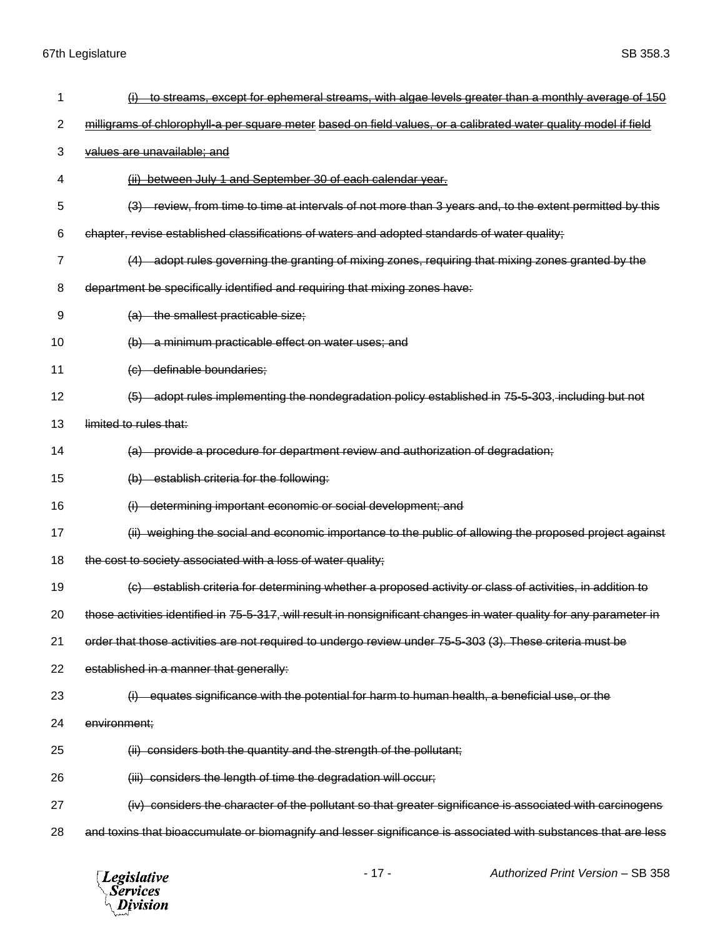| 1  | to streams, except for ephemeral streams, with algae levels greater than a monthly average of 150                     |
|----|-----------------------------------------------------------------------------------------------------------------------|
| 2  | milligrams of chlorophyll-a per square meter based on field values, or a calibrated water quality model if field      |
| 3  | values are unavailable; and                                                                                           |
| 4  | (ii) between July 1 and September 30 of each calendar year.                                                           |
| 5  | review, from time to time at intervals of not more than 3 years and, to the extent permitted by this<br>(3)           |
| 6  | chapter, revise established classifications of waters and adopted standards of water quality;                         |
| 7  | (4) adopt rules governing the granting of mixing zones, requiring that mixing zones granted by the                    |
| 8  | department be specifically identified and requiring that mixing zones have:                                           |
| 9  | (a) the smallest practicable size;                                                                                    |
| 10 | a minimum practicable effect on water uses; and<br>(b)                                                                |
| 11 | (c) definable boundaries;                                                                                             |
| 12 | (5) adopt rules implementing the nondegradation policy established in 75-5-303, including but not                     |
| 13 | limited to rules that:                                                                                                |
| 14 | provide a procedure for department review and authorization of degradation;<br><del>(a)</del>                         |
| 15 | (b) establish criteria for the following:                                                                             |
| 16 | determining important economic or social development; and                                                             |
| 17 | (ii) weighing the social and economic importance to the public of allowing the proposed project against               |
| 18 | the cost to society associated with a loss of water quality;                                                          |
| 19 | -establish criteria for determining whether a proposed activity or class of activities, in addition to<br>$\left($ G) |
| 20 | those activities identified in 75-5-317, will result in nonsignificant changes in water quality for any parameter in  |
| 21 | order that those activities are not required to undergo review under 75-5-303 (3). These criteria must be             |
| 22 | established in a manner that generally:                                                                               |
| 23 | equates significance with the potential for harm to human health, a beneficial use, or the                            |
| 24 | environment;                                                                                                          |
| 25 | (ii) considers both the quantity and the strength of the pollutant;                                                   |
| 26 | (iii) considers the length of time the degradation will occur;                                                        |
| 27 | (iv) considers the character of the pollutant so that greater significance is associated with carcinogens             |
| 28 | and toxins that bioaccumulate or biomagnify and lesser significance is associated with substances that are less       |

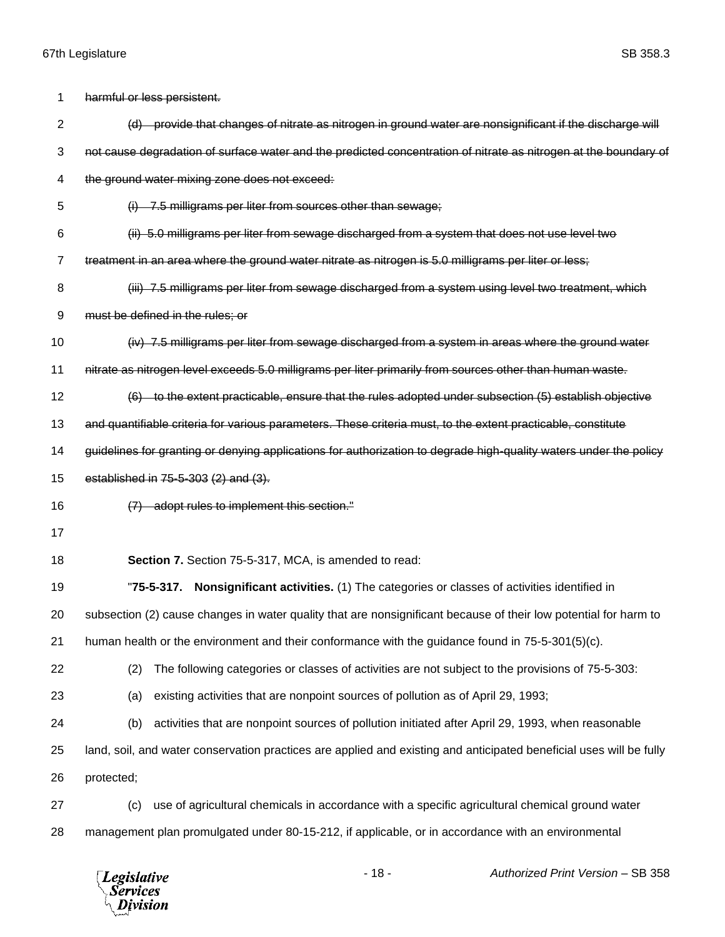| 1  | harmful or less persistent.                                                                                         |
|----|---------------------------------------------------------------------------------------------------------------------|
| 2  | (d) provide that changes of nitrate as nitrogen in ground water are nonsignificant if the discharge will            |
| 3  | not cause degradation of surface water and the predicted concentration of nitrate as nitrogen at the boundary of    |
| 4  | the ground water mixing zone does not exceed:                                                                       |
| 5  | $(i)$ 7.5 milligrams per liter from sources other than sewage;                                                      |
| 6  | (ii) 5.0 milligrams per liter from sewage discharged from a system that does not use level two                      |
| 7  | treatment in an area where the ground water nitrate as nitrogen is 5.0 milligrams per liter or less;                |
| 8  | (iii) 7.5 milligrams per liter from sewage discharged from a system using level two treatment, which                |
| 9  | must be defined in the rules; or                                                                                    |
| 10 | (iv) 7.5 milligrams per liter from sewage discharged from a system in areas where the ground water                  |
| 11 | nitrate as nitrogen level exceeds 5.0 milligrams per liter primarily from sources other than human waste.           |
| 12 | (6) to the extent practicable, ensure that the rules adopted under subsection (5) establish objective               |
| 13 | and quantifiable criteria for various parameters. These criteria must, to the extent practicable, constitute        |
| 14 | guidelines for granting or denying applications for authorization to degrade high-quality waters under the policy   |
| 15 | established in 75-5-303 (2) and (3).                                                                                |
| 16 | (7) adopt rules to implement this section."                                                                         |
| 17 |                                                                                                                     |
| 18 | Section 7. Section 75-5-317, MCA, is amended to read:                                                               |
| 19 | Nonsignificant activities. (1) The categories or classes of activities identified in<br>"75-5-317.                  |
| 20 | subsection (2) cause changes in water quality that are nonsignificant because of their low potential for harm to    |
| 21 | human health or the environment and their conformance with the guidance found in 75-5-301(5)(c).                    |
| 22 | The following categories or classes of activities are not subject to the provisions of 75-5-303:<br>(2)             |
| 23 | existing activities that are nonpoint sources of pollution as of April 29, 1993;<br>(a)                             |
| 24 | activities that are nonpoint sources of pollution initiated after April 29, 1993, when reasonable<br>(b)            |
| 25 | land, soil, and water conservation practices are applied and existing and anticipated beneficial uses will be fully |
| 26 | protected;                                                                                                          |
| 27 | use of agricultural chemicals in accordance with a specific agricultural chemical ground water<br>(c)               |
| 28 | management plan promulgated under 80-15-212, if applicable, or in accordance with an environmental                  |
|    |                                                                                                                     |

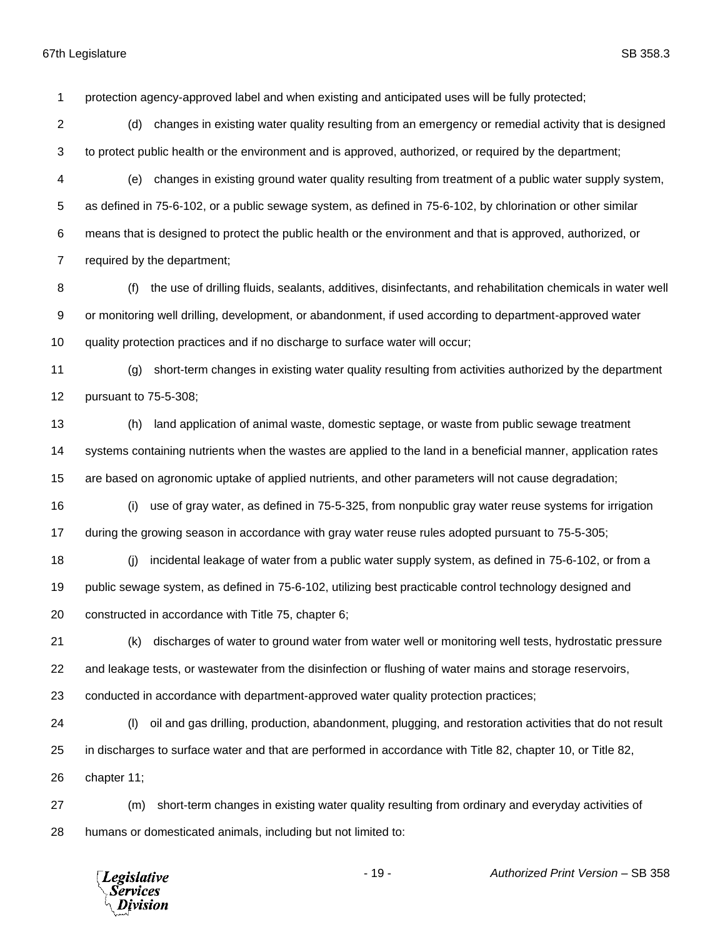protection agency-approved label and when existing and anticipated uses will be fully protected;

- (d) changes in existing water quality resulting from an emergency or remedial activity that is designed to protect public health or the environment and is approved, authorized, or required by the department;
- (e) changes in existing ground water quality resulting from treatment of a public water supply system, as defined in 75-6-102, or a public sewage system, as defined in 75-6-102, by chlorination or other similar means that is designed to protect the public health or the environment and that is approved, authorized, or required by the department;
- (f) the use of drilling fluids, sealants, additives, disinfectants, and rehabilitation chemicals in water well or monitoring well drilling, development, or abandonment, if used according to department-approved water quality protection practices and if no discharge to surface water will occur;
- (g) short-term changes in existing water quality resulting from activities authorized by the department pursuant to 75-5-308;
- (h) land application of animal waste, domestic septage, or waste from public sewage treatment systems containing nutrients when the wastes are applied to the land in a beneficial manner, application rates are based on agronomic uptake of applied nutrients, and other parameters will not cause degradation;
- (i) use of gray water, as defined in 75-5-325, from nonpublic gray water reuse systems for irrigation during the growing season in accordance with gray water reuse rules adopted pursuant to 75-5-305;
- (j) incidental leakage of water from a public water supply system, as defined in 75-6-102, or from a public sewage system, as defined in 75-6-102, utilizing best practicable control technology designed and constructed in accordance with Title 75, chapter 6;
- (k) discharges of water to ground water from water well or monitoring well tests, hydrostatic pressure and leakage tests, or wastewater from the disinfection or flushing of water mains and storage reservoirs,
- conducted in accordance with department-approved water quality protection practices;
- (l) oil and gas drilling, production, abandonment, plugging, and restoration activities that do not result in discharges to surface water and that are performed in accordance with Title 82, chapter 10, or Title 82, chapter 11;
- (m) short-term changes in existing water quality resulting from ordinary and everyday activities of humans or domesticated animals, including but not limited to:

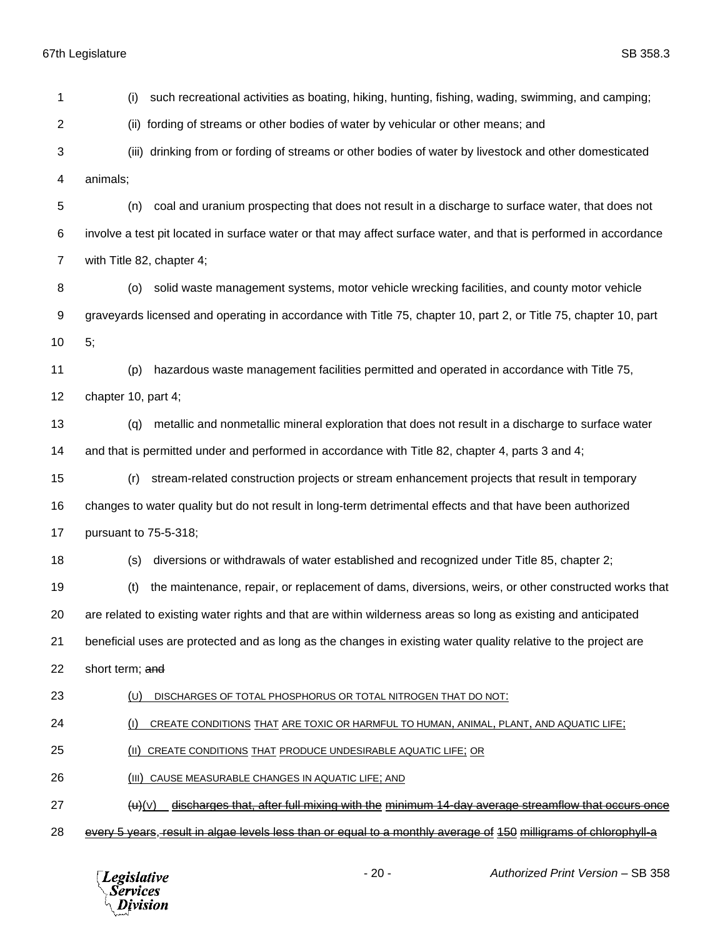(i) such recreational activities as boating, hiking, hunting, fishing, wading, swimming, and camping; (ii) fording of streams or other bodies of water by vehicular or other means; and (iii) drinking from or fording of streams or other bodies of water by livestock and other domesticated animals; (n) coal and uranium prospecting that does not result in a discharge to surface water, that does not involve a test pit located in surface water or that may affect surface water, and that is performed in accordance with Title 82, chapter 4; (o) solid waste management systems, motor vehicle wrecking facilities, and county motor vehicle graveyards licensed and operating in accordance with Title 75, chapter 10, part 2, or Title 75, chapter 10, part 5; (p) hazardous waste management facilities permitted and operated in accordance with Title 75, chapter 10, part 4; (q) metallic and nonmetallic mineral exploration that does not result in a discharge to surface water and that is permitted under and performed in accordance with Title 82, chapter 4, parts 3 and 4; (r) stream-related construction projects or stream enhancement projects that result in temporary changes to water quality but do not result in long-term detrimental effects and that have been authorized pursuant to 75-5-318; (s) diversions or withdrawals of water established and recognized under Title 85, chapter 2; (t) the maintenance, repair, or replacement of dams, diversions, weirs, or other constructed works that are related to existing water rights and that are within wilderness areas so long as existing and anticipated beneficial uses are protected and as long as the changes in existing water quality relative to the project are 22 short term; and (U) DISCHARGES OF TOTAL PHOSPHORUS OR TOTAL NITROGEN THAT DO NOT: (I) CREATE CONDITIONS THAT ARE TOXIC OR HARMFUL TO HUMAN, ANIMAL, PLANT, AND AQUATIC LIFE; (II) CREATE CONDITIONS THAT PRODUCE UNDESIRABLE AQUATIC LIFE; OR 26 (III) CAUSE MEASURABLE CHANGES IN AQUATIC LIFE; AND  $(u)$   $(v)$  discharges that, after full mixing with the minimum 14-day average streamflow that occurs once every 5 years, result in algae levels less than or equal to a monthly average of 150 milligrams of chlorophyll-a

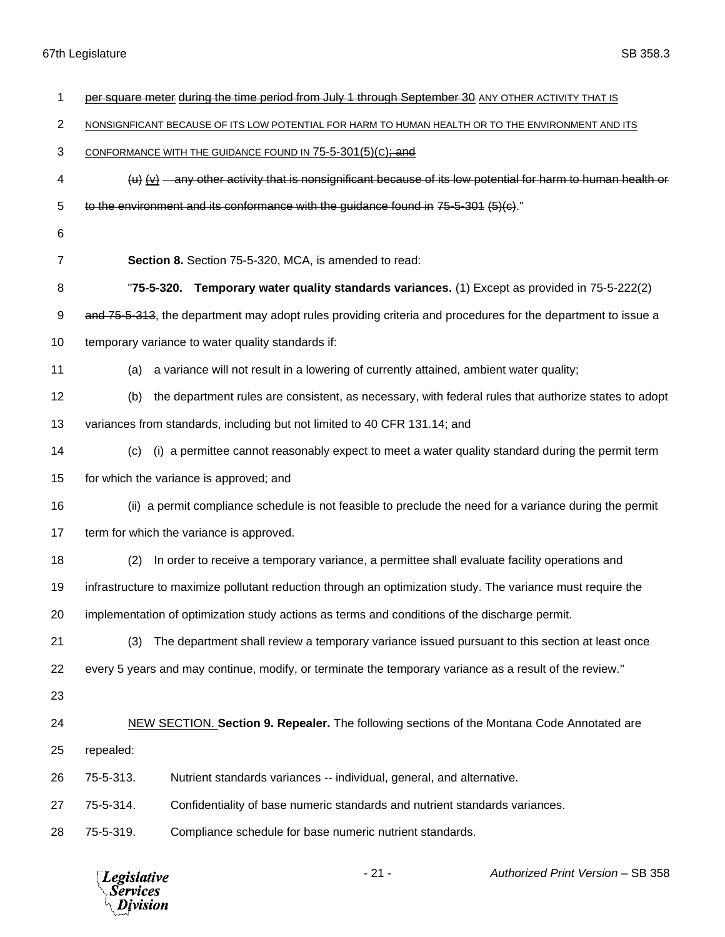| 1              | per square meter during the time period from July 1 through September 30 ANY OTHER ACTIVITY THAT IS              |
|----------------|------------------------------------------------------------------------------------------------------------------|
| $\overline{2}$ | NONSIGNFICANT BECAUSE OF ITS LOW POTENTIAL FOR HARM TO HUMAN HEALTH OR TO THE ENVIRONMENT AND ITS                |
| 3              | CONFORMANCE WITH THE GUIDANCE FOUND IN 75-5-301(5)(C); and                                                       |
| 4              | $(u)$ $(v)$ — any other activity that is nonsignificant because of its low potential for harm to human health or |
| 5              | to the environment and its conformance with the guidance found in 75-5-301 $(5)(c)$ ."                           |
| 6              |                                                                                                                  |
| $\overline{7}$ | Section 8. Section 75-5-320, MCA, is amended to read:                                                            |
| 8              | "75-5-320. Temporary water quality standards variances. (1) Except as provided in 75-5-222(2)                    |
| 9              | and 75-5-313, the department may adopt rules providing criteria and procedures for the department to issue a     |
| 10             | temporary variance to water quality standards if:                                                                |
| 11             | a variance will not result in a lowering of currently attained, ambient water quality;<br>(a)                    |
| 12             | the department rules are consistent, as necessary, with federal rules that authorize states to adopt<br>(b)      |
| 13             | variances from standards, including but not limited to 40 CFR 131.14; and                                        |
| 14             | (i) a permittee cannot reasonably expect to meet a water quality standard during the permit term<br>(c)          |
| 15             | for which the variance is approved; and                                                                          |
| 16             | (ii) a permit compliance schedule is not feasible to preclude the need for a variance during the permit          |
| 17             | term for which the variance is approved.                                                                         |
| 18             | In order to receive a temporary variance, a permittee shall evaluate facility operations and<br>(2)              |
| 19             | infrastructure to maximize pollutant reduction through an optimization study. The variance must require the      |
| 20             | implementation of optimization study actions as terms and conditions of the discharge permit.                    |
| 21             | The department shall review a temporary variance issued pursuant to this section at least once<br>(3)            |
| 22             | every 5 years and may continue, modify, or terminate the temporary variance as a result of the review."          |
| 23             |                                                                                                                  |
| 24             | <b>NEW SECTION. Section 9. Repealer.</b> The following sections of the Montana Code Annotated are                |
| 25             | repealed:                                                                                                        |
| 26             | 75-5-313.<br>Nutrient standards variances -- individual, general, and alternative.                               |
| 27             | 75-5-314.<br>Confidentiality of base numeric standards and nutrient standards variances.                         |
| 28             | Compliance schedule for base numeric nutrient standards.<br>75-5-319.                                            |
|                |                                                                                                                  |